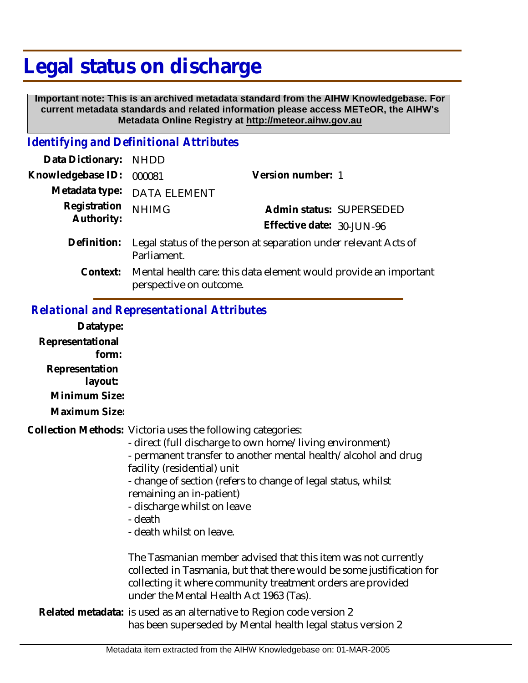## **Legal status on discharge**

 **Important note: This is an archived metadata standard from the AIHW Knowledgebase. For current metadata standards and related information please access METeOR, the AIHW's Metadata Online Registry at http://meteor.aihw.gov.au**

## *Identifying and Definitional Attributes*

| Data Dictionary: NHDD      |                                                                                             |                           |                          |
|----------------------------|---------------------------------------------------------------------------------------------|---------------------------|--------------------------|
| Knowledgebase ID:          | 000081                                                                                      | Version number: 1         |                          |
|                            | Metadata type: DATA ELEMENT                                                                 |                           |                          |
| Registration<br>Authority: | <b>NHIMG</b>                                                                                |                           | Admin status: SUPERSEDED |
|                            |                                                                                             | Effective date: 30-JUN-96 |                          |
| Definition:                | Legal status of the person at separation under relevant Acts of<br>Parliament.              |                           |                          |
| Context:                   | Mental health care: this data element would provide an important<br>perspective on outcome. |                           |                          |

## *Relational and Representational Attributes*

| Datatype:                 |                                                                                                                                                                                                                                                                                                                                                                                             |
|---------------------------|---------------------------------------------------------------------------------------------------------------------------------------------------------------------------------------------------------------------------------------------------------------------------------------------------------------------------------------------------------------------------------------------|
| Representational<br>form: |                                                                                                                                                                                                                                                                                                                                                                                             |
| Representation<br>layout: |                                                                                                                                                                                                                                                                                                                                                                                             |
| Minimum Size:             |                                                                                                                                                                                                                                                                                                                                                                                             |
| Maximum Size:             |                                                                                                                                                                                                                                                                                                                                                                                             |
|                           | Collection Methods: Victoria uses the following categories:<br>- direct (full discharge to own home/living environment)<br>- permanent transfer to another mental health/alcohol and drug<br>facility (residential) unit<br>- change of section (refers to change of legal status, whilst<br>remaining an in-patient)<br>- discharge whilst on leave<br>- death<br>- death whilst on leave. |
|                           | The Tasmanian member advised that this item was not currently<br>collected in Tasmania, but that there would be some justification for<br>collecting it where community treatment orders are provided<br>under the Mental Health Act 1963 (Tas).                                                                                                                                            |
|                           | Related metadata: is used as an alternative to Region code version 2<br>has been superseded by Mental health legal status version 2                                                                                                                                                                                                                                                         |